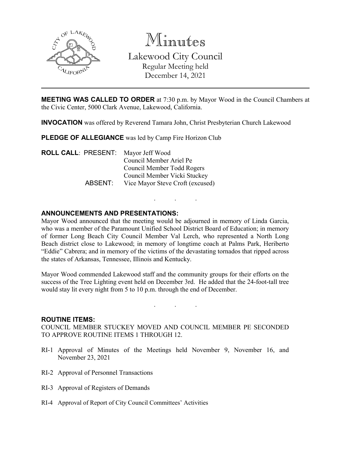

Minutes Lakewood City Council Regular Meeting held December 14, 2021

**MEETING WAS CALLED TO ORDER** at 7:30 p.m. by Mayor Wood in the Council Chambers at the Civic Center, 5000 Clark Avenue, Lakewood, California.

**INVOCATION** was offered by Reverend Tamara John, Christ Presbyterian Church Lakewood

**PLEDGE OF ALLEGIANCE** was led by Camp Fire Horizon Club

**ROLL CALL**: PRESENT: Mayor Jeff Wood Council Member Ariel Pe Council Member Todd Rogers Council Member Vicki Stuckey ABSENT: Vice Mayor Steve Croft (excused)

## **ANNOUNCEMENTS AND PRESENTATIONS:**

Mayor Wood announced that the meeting would be adjourned in memory of Linda Garcia, who was a member of the Paramount Unified School District Board of Education; in memory of former Long Beach City Council Member Val Lerch, who represented a North Long Beach district close to Lakewood; in memory of longtime coach at Palms Park, Heriberto "Eddie" Cabrera; and in memory of the victims of the devastating tornados that ripped across the states of Arkansas, Tennessee, Illinois and Kentucky.

. . .

Mayor Wood commended Lakewood staff and the community groups for their efforts on the success of the Tree Lighting event held on December 3rd. He added that the 24-foot-tall tree would stay lit every night from 5 to 10 p.m. through the end of December.

. . .

#### **ROUTINE ITEMS:**

COUNCIL MEMBER STUCKEY MOVED AND COUNCIL MEMBER PE SECONDED TO APPROVE ROUTINE ITEMS 1 THROUGH 12.

- RI-1 Approval of Minutes of the Meetings held November 9, November 16, and November 23, 2021
- RI-2 Approval of Personnel Transactions
- RI-3 Approval of Registers of Demands
- RI-4 Approval of Report of City Council Committees' Activities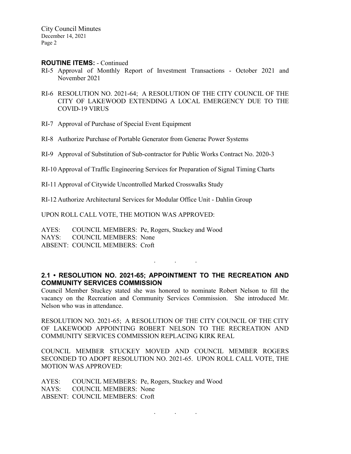City Council Minutes December 14, 2021 Page 2

#### **ROUTINE ITEMS:** - Continued

- RI-5 Approval of Monthly Report of Investment Transactions October 2021 and November 2021
- RI-6 RESOLUTION NO. 2021-64; A RESOLUTION OF THE CITY COUNCIL OF THE CITY OF LAKEWOOD EXTENDING A LOCAL EMERGENCY DUE TO THE COVID-19 VIRUS
- RI-7 Approval of Purchase of Special Event Equipment
- RI-8 Authorize Purchase of Portable Generator from Generac Power Systems
- RI-9 Approval of Substitution of Sub-contractor for Public Works Contract No. 2020-3
- RI-10 Approval of Traffic Engineering Services for Preparation of Signal Timing Charts
- RI-11 Approval of Citywide Uncontrolled Marked Crosswalks Study

RI-12 Authorize Architectural Services for Modular Office Unit - Dahlin Group

UPON ROLL CALL VOTE, THE MOTION WAS APPROVED:

AYES: COUNCIL MEMBERS: Pe, Rogers, Stuckey and Wood NAYS: COUNCIL MEMBERS: None ABSENT: COUNCIL MEMBERS: Croft

## **2.1 • RESOLUTION NO. 2021-65; APPOINTMENT TO THE RECREATION AND COMMUNITY SERVICES COMMISSION**

. . .

Council Member Stuckey stated she was honored to nominate Robert Nelson to fill the vacancy on the Recreation and Community Services Commission. She introduced Mr. Nelson who was in attendance.

RESOLUTION NO. 2021-65; A RESOLUTION OF THE CITY COUNCIL OF THE CITY OF LAKEWOOD APPOINTING ROBERT NELSON TO THE RECREATION AND COMMUNITY SERVICES COMMISSION REPLACING KIRK REAL

COUNCIL MEMBER STUCKEY MOVED AND COUNCIL MEMBER ROGERS SECONDED TO ADOPT RESOLUTION NO. 2021-65. UPON ROLL CALL VOTE, THE MOTION WAS APPROVED:

AYES: COUNCIL MEMBERS: Pe, Rogers, Stuckey and Wood NAYS: COUNCIL MEMBERS: None ABSENT: COUNCIL MEMBERS: Croft

. . .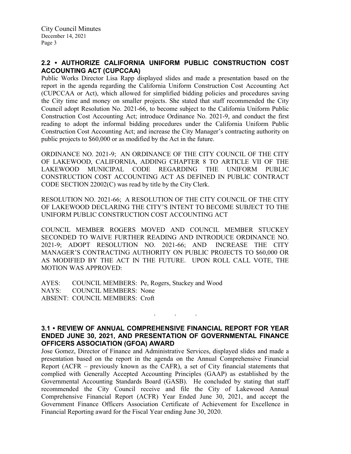# **2.2 • AUTHORIZE CALIFORNIA UNIFORM PUBLIC CONSTRUCTION COST ACCOUNTING ACT (CUPCCAA)**

Public Works Director Lisa Rapp displayed slides and made a presentation based on the report in the agenda regarding the California Uniform Construction Cost Accounting Act (CUPCCAA or Act), which allowed for simplified bidding policies and procedures saving the City time and money on smaller projects. She stated that staff recommended the City Council adopt Resolution No. 2021-66, to become subject to the California Uniform Public Construction Cost Accounting Act; introduce Ordinance No. 2021-9, and conduct the first reading to adopt the informal bidding procedures under the California Uniform Public Construction Cost Accounting Act; and increase the City Manager's contracting authority on public projects to \$60,000 or as modified by the Act in the future.

ORDINANCE NO. 2021-9; AN ORDINANCE OF THE CITY COUNCIL OF THE CITY OF LAKEWOOD, CALIFORNIA, ADDING CHAPTER 8 TO ARTICLE VII OF THE LAKEWOOD MUNICIPAL CODE REGARDING THE UNIFORM PUBLIC CONSTRUCTION COST ACCOUNTING ACT AS DEFINED IN PUBLIC CONTRACT CODE SECTION 22002(C) was read by title by the City Clerk.

RESOLUTION NO. 2021-66; A RESOLUTION OF THE CITY COUNCIL OF THE CITY OF LAKEWOOD DECLARING THE CITY'S INTENT TO BECOME SUBJECT TO THE UNIFORM PUBLIC CONSTRUCTION COST ACCOUNTING ACT

COUNCIL MEMBER ROGERS MOVED AND COUNCIL MEMBER STUCKEY SECONDED TO WAIVE FURTHER READING AND INTRODUCE ORDINANCE NO. 2021-9; ADOPT RESOLUTION NO. 2021-66; AND INCREASE THE CITY MANAGER'S CONTRACTING AUTHORITY ON PUBLIC PROJECTS TO \$60,000 OR AS MODIFIED BY THE ACT IN THE FUTURE. UPON ROLL CALL VOTE, THE MOTION WAS APPROVED:

AYES: COUNCIL MEMBERS: Pe, Rogers, Stuckey and Wood NAYS: COUNCIL MEMBERS: None ABSENT: COUNCIL MEMBERS: Croft

## **3.1 • REVIEW OF ANNUAL COMPREHENSIVE FINANCIAL REPORT FOR YEAR ENDED JUNE 30, 2021, AND PRESENTATION OF GOVERNMENTAL FINANCE OFFICERS ASSOCIATION (GFOA) AWARD**

. . .

Jose Gomez, Director of Finance and Administrative Services, displayed slides and made a presentation based on the report in the agenda on the Annual Comprehensive Financial Report (ACFR – previously known as the CAFR), a set of City financial statements that complied with Generally Accepted Accounting Principles (GAAP) as established by the Governmental Accounting Standards Board (GASB). He concluded by stating that staff recommended the City Council receive and file the City of Lakewood Annual Comprehensive Financial Report (ACFR) Year Ended June 30, 2021, and accept the Government Finance Officers Association Certificate of Achievement for Excellence in Financial Reporting award for the Fiscal Year ending June 30, 2020.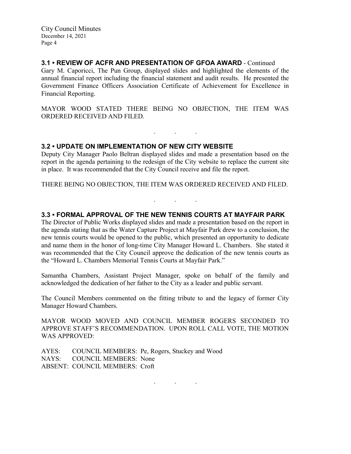City Council Minutes December 14, 2021 Page 4

# **3.1 • REVIEW OF ACFR AND PRESENTATION OF GFOA AWARD** - Continued

Gary M. Caporicci, The Pun Group, displayed slides and highlighted the elements of the annual financial report including the financial statement and audit results. He presented the Government Finance Officers Association Certificate of Achievement for Excellence in Financial Reporting.

MAYOR WOOD STATED THERE BEING NO OBJECTION, THE ITEM WAS ORDERED RECEIVED AND FILED.

. . .

## **3.2 • UPDATE ON IMPLEMENTATION OF NEW CITY WEBSITE**

Deputy City Manager Paolo Beltran displayed slides and made a presentation based on the report in the agenda pertaining to the redesign of the City website to replace the current site in place. It was recommended that the City Council receive and file the report.

THERE BEING NO OBJECTION, THE ITEM WAS ORDERED RECEIVED AND FILED.

. . .

## **3.3 • FORMAL APPROVAL OF THE NEW TENNIS COURTS AT MAYFAIR PARK**

The Director of Public Works displayed slides and made a presentation based on the report in the agenda stating that as the Water Capture Project at Mayfair Park drew to a conclusion, the new tennis courts would be opened to the public, which presented an opportunity to dedicate and name them in the honor of long-time City Manager Howard L. Chambers. She stated it was recommended that the City Council approve the dedication of the new tennis courts as the "Howard L. Chambers Memorial Tennis Courts at Mayfair Park."

Samantha Chambers, Assistant Project Manager, spoke on behalf of the family and acknowledged the dedication of her father to the City as a leader and public servant.

The Council Members commented on the fitting tribute to and the legacy of former City Manager Howard Chambers.

MAYOR WOOD MOVED AND COUNCIL MEMBER ROGERS SECONDED TO APPROVE STAFF'S RECOMMENDATION. UPON ROLL CALL VOTE, THE MOTION WAS APPROVED:

AYES: COUNCIL MEMBERS: Pe, Rogers, Stuckey and Wood NAYS: COUNCIL MEMBERS: None ABSENT: COUNCIL MEMBERS: Croft

. . .